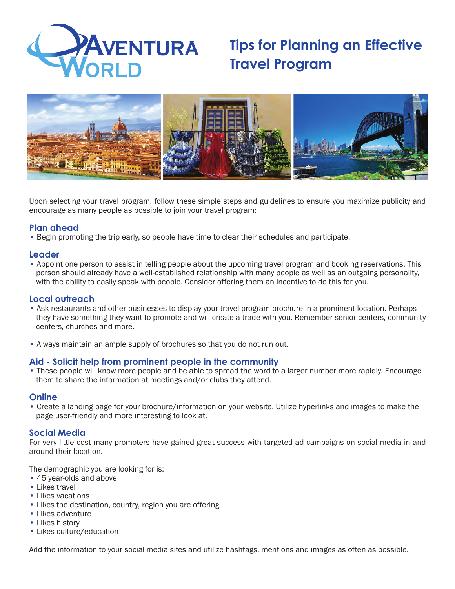

# **Tips for Planning an Effective Travel Program**



Upon selecting your travel program, follow these simple steps and guidelines to ensure you maximize publicity and encourage as many people as possible to join your travel program:

# **Plan ahead**

• Begin promoting the trip early, so people have time to clear their schedules and participate.

# **Leader**

• Appoint one person to assist in telling people about the upcoming travel program and booking reservations. This person should already have a well-established relationship with many people as well as an outgoing personality, with the ability to easily speak with people. Consider offering them an incentive to do this for you.

## **Local outreach**

- Ask restaurants and other businesses to display your travel program brochure in a prominent location. Perhaps they have something they want to promote and will create a trade with you. Remember senior centers, community centers, churches and more.
- Always maintain an ample supply of brochures so that you do not run out.

## **Aid - Solicit help from prominent people in the community**

• These people will know more people and be able to spread the word to a larger number more rapidly. Encourage them to share the information at meetings and/or clubs they attend.

## **Online**

• Create a landing page for your brochure/information on your website. Utilize hyperlinks and images to make the page user-friendly and more interesting to look at.

## **Social Media**

For very little cost many promoters have gained great success with targeted ad campaigns on social media in and around their location.

The demographic you are looking for is:

- 45 year-olds and above
- Likes travel
- Likes vacations
- Likes the destination, country, region you are offering
- Likes adventure
- Likes history
- Likes culture/education

Add the information to your social media sites and utilize hashtags, mentions and images as often as possible.